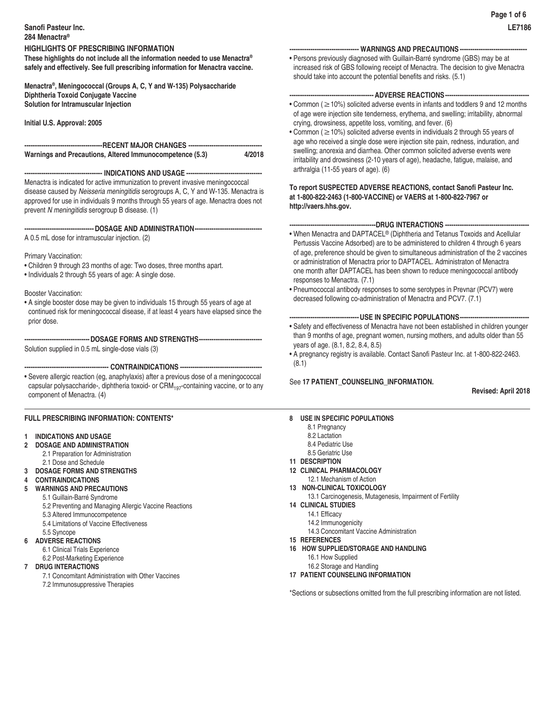### **Sanofi Pasteur Inc. 284 Menactra®**

**These highlights do not include all the information needed to use Menactra® safely and effectively. See full prescribing information for Menactra vaccine.** 

**Menactra®, Meningococcal (Groups A, C, Y and W-135) Polysaccharide Diphtheria Toxoid Conjugate Vaccine Solution for Intramuscular Injection**

**Initial U.S. Approval: 2005**

## **-------------------------------------RECENT MAJOR CHANGES ----------------------------------- Warnings and Precautions, Altered Immunocompetence (5.3)**

**------------------------------------- INDICATIONS AND USAGE ------------------------------------**

Menactra is indicated for active immunization to prevent invasive meningococcal disease caused by *Neisseria meningitidis* serogroups A, C, Y and W-135. Menactra is approved for use in individuals 9 months through 55 years of age. Menactra does not prevent *N meningitidis* serogroup B disease. (1)

**---------------------------------DOSAGE AND ADMINISTRATION--------------------------------**

A 0.5 mL dose for intramuscular injection. (2)

Primary Vaccination:

- Children 9 through 23 months of age: Two doses, three months apart.
- Individuals 2 through 55 years of age: A single dose.

Booster Vaccination:

• A single booster dose may be given to individuals 15 through 55 years of age at continued risk for meningococcal disease, if at least 4 years have elapsed since the prior dose.

**-------------------------------DOSAGE FORMS AND STRENGTHS------------------------------**

Solution supplied in 0.5 mL single-dose vials (3)

**---------------------------------------- CONTRAINDICATIONS ---------------------------------------**

• Severe allergic reaction (eg, anaphylaxis) after a previous dose of a meningococcal capsular polysaccharide-, diphtheria toxoid- or CRM<sub>197</sub>-containing vaccine, or to any component of Menactra. (4)

# **FULL PRESCRIBING INFORMATION: CONTENTS\***

- **1 INDICATIONS AND USAGE**
- **2 DOSAGE AND ADMINISTRATION**
	- 2.1 Preparation for Administration 2.1 Dose and Schedule
- **3 DOSAGE FORMS AND STRENGTHS**
- **4 CONTRAINDICATIONS**
- **5 WARNINGS AND PRECAUTIONS**
	- 5.1 Guillain-Barré Syndrome
	- 5.2 Preventing and Managing Allergic Vaccine Reactions
	- 5.3 Altered Immunocompetence
	- 5.4 Limitations of Vaccine Effectiveness
	- 5.5 Syncope

# **6 ADVERSE REACTIONS**

- 6.1 Clinical Trials Experience
- 6.2 Post-Marketing Experience
- **7 DRUG INTERACTIONS**
	- 7.1 Concomitant Administration with Other Vaccines 7.2 Immunosuppressive Therapies
- **--------------------------------- WARNINGS AND PRECAUTIONS --------------------------------**
- Persons previously diagnosed with Guillain-Barré syndrome (GBS) may be at increased risk of GBS following receipt of Menactra. The decision to give Menactra should take into account the potential benefits and risks. (5.1)

### ---- ADVERSE REACTIONS-

- Common (≥10%) solicited adverse events in infants and toddlers 9 and 12 months of age were injection site tenderness, erythema, and swelling; irritability, abnormal crying, drowsiness, appetite loss, vomiting, and fever. (6)
- Common (≥10%) solicited adverse events in individuals 2 through 55 years of age who received a single dose were injection site pain, redness, induration, and swelling; anorexia and diarrhea. Other common solicited adverse events were irritability and drowsiness (2-10 years of age), headache, fatigue, malaise, and arthralgia (11-55 years of age). (6)

# **To report SUSPECTED ADVERSE REACTIONS, contact Sanofi Pasteur Inc. at 1-800-822-2463 (1-800-VACCINE) or VAERS at 1-800-822-7967 or http://vaers.hhs.gov.**

# **-----------------------------------------DRUG INTERACTIONS ----------------------------------------**

- When Menactra and DAPTACEL® (Diphtheria and Tetanus Toxoids and Acellular Pertussis Vaccine Adsorbed) are to be administered to children 4 through 6 years of age, preference should be given to simultaneous administration of the 2 vaccines or administration of Menactra prior to DAPTACEL. Administraton of Menactra one month after DAPTACEL has been shown to reduce meningococcal antibody responses to Menactra. (7.1)
- Pneumococcal antibody responses to some serotypes in Prevnar (PCV7) were decreased following co-administration of Menactra and PCV7. (7.1)

# **---------------------------------USE IN SPECIFIC POPULATIONS---------------------------------**

- Safety and effectiveness of Menactra have not been established in children younger than 9 months of age, pregnant women, nursing mothers, and adults older than 55 years of age. (8.1, 8.2, 8.4, 8.5)
- A pregnancy registry is available. Contact Sanofi Pasteur Inc. at 1-800-822-2463. (8.1)

# See **17 PATIENT\_COUNSELING\_INFORMATION.**

**Revised: April 2018**

# **8 USE IN SPECIFIC POPULATIONS**

- 8.1 Pregnancy
- 8.2 Lactation
- 8.4 Pediatric Use
- 8.5 Geriatric Use
- **11 DESCRIPTION**
- **12 CLINICAL PHARMACOLOGY** 12.1 Mechanism of Action
- **13 NON-CLINICAL TOXICOLOGY**
- 13.1 Carcinogenesis, Mutagenesis, Impairment of Fertility
- **14 CLINICAL STUDIES**
	- 14.1 Efficacy
	- 14.2 Immunogenicity
	- 14.3 Concomitant Vaccine Administration
- **15 REFERENCES**
- **16 HOW SUPPLIED/STORAGE AND HANDLING** 
	- 16.1 How Supplied
- 16.2 Storage and Handling
- **17 PATIENT COUNSELING INFORMATION**

\*Sections or subsections omitted from the full prescribing information are not listed.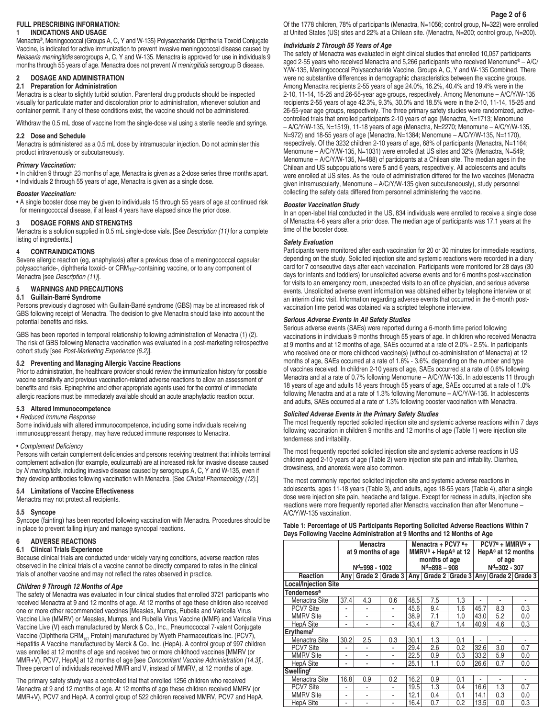# **FULL PRESCRIBING INFORMATION:**

### **1 INDICATIONS AND USAGE**

Menactra®, Meningococcal (Groups A, C, Y and W-135) Polysaccharide Diphtheria Toxoid Conjugate Vaccine, is indicated for active immunization to prevent invasive meningococcal disease caused by *Neisseria meningitidis* serogroups A, C, Y and W-135. Menactra is approved for use in individuals 9 months through 55 years of age. Menactra does not prevent *N meningitidis* serogroup B disease.

# **2 DOSAGE AND ADMINISTRATION**

### **2.1 Preparation for Administration**

Menactra is a clear to slightly turbid solution. Parenteral drug products should be inspected visually for particulate matter and discoloration prior to administration, whenever solution and container permit. If any of these conditions exist, the vaccine should not be administered.

Withdraw the 0.5 mL dose of vaccine from the single-dose vial using a sterile needle and syringe.

### **2.2 Dose and Schedule**

Menactra is administered as a 0.5 mL dose by intramuscular injection. Do not administer this product intravenously or subcutaneously.

#### *Primary Vaccination:*

• In children 9 through 23 months of age, Menactra is given as a 2-dose series three months apart. • Individuals 2 through 55 years of age, Menactra is given as a single dose.

#### *Booster Vaccination:*

• A single booster dose may be given to individuals 15 through 55 years of age at continued risk for meningococcal disease, if at least 4 years have elapsed since the prior dose.

### **3 DOSAGE FORMS AND STRENGTHS**

Menactra is a solution supplied in 0.5 mL single-dose vials. [See *Description (11)* for a complete listing of ingredients.]

#### **4 CONTRAINDICATIONS**

Severe allergic reaction (eg, anaphylaxis) after a previous dose of a meningococcal capsular polysaccharide-, diphtheria toxoid- or CRM197-containing vaccine, or to any component of Menactra [see *Description (11)*].

### **5 WARNINGS AND PRECAUTIONS**

### **5.1 Guillain-Barré Syndrome**

Persons previously diagnosed with Guillain-Barré syndrome (GBS) may be at increased risk of GBS following receipt of Menactra. The decision to give Menactra should take into account the potential benefits and risks.

GBS has been reported in temporal relationship following administration of Menactra (1) (2). The risk of GBS following Menactra vaccination was evaluated in a post-marketing retrospective cohort study [see *Post-Marketing Experience (6.2)*].

#### **5.2 Preventing and Managing Allergic Vaccine Reactions**

Prior to administration, the healthcare provider should review the immunization history for possible vaccine sensitivity and previous vaccination-related adverse reactions to allow an assessment of benefits and risks. Epinephrine and other appropriate agents used for the control of immediate allergic reactions must be immediately available should an acute anaphylactic reaction occur.

### **5.3 Altered Immunocompetence**

#### • *Reduced Immune Response*

Some individuals with altered immunocompetence, including some individuals receiving immunosuppressant therapy, may have reduced immune responses to Menactra.

#### • Complement Deficiency

Persons with certain complement deficiencies and persons receiving treatment that inhibits terminal complement activation (for example, eculizumab) are at increased risk for invasive disease caused by *N meningitidis*, including invasive disease caused by serogroups A, C, Y and W-135, even if they develop antibodies following vaccination with Menactra. [See Clinical Pharmacology (12).]

#### **5.4 Limitations of Vaccine Effectiveness**

Menactra may not protect all recipients.

#### **5.5 Syncope**

Syncope (fainting) has been reported following vaccination with Menactra. Procedures should be in place to prevent falling injury and manage syncopal reactions.

#### **6 ADVERSE REACTIONS**

### **6.1 Clinical Trials Experience**

Because clinical trials are conducted under widely varying conditions, adverse reaction rates observed in the clinical trials of a vaccine cannot be directly compared to rates in the clinical trials of another vaccine and may not reflect the rates observed in practice.

#### *Children 9 Through 12 Months of Age*

The safety of Menactra was evaluated in four clinical studies that enrolled 3721 participants who received Menactra at 9 and 12 months of age. At 12 months of age these children also received one or more other recommended vaccines [Measles, Mumps, Rubella and Varicella Virus Vaccine Live (MMRV) or Measles, Mumps, and Rubella Virus Vaccine (MMR) and Varicella Virus Vaccine Live (V) each manufactured by Merck & Co., Inc., Pneumococcal 7-valent Conjugate Vaccine (Diphtheria CRM $_{197}$  Protein) manufactured by Wyeth Pharmaceuticals Inc. (PCV7), Hepatitis A Vaccine manufactured by Merck & Co., Inc. (HepA). A control group of 997 children was enrolled at 12 months of age and received two or more childhood vaccines [MMRV (or MMR+V), PCV7, HepA] at 12 months of age [see *Concomitant Vaccine Administration (14.3)*]. Three percent of individuals received MMR and V, instead of MMRV, at 12 months of age.

The primary safety study was a controlled trial that enrolled 1256 children who received Menactra at 9 and 12 months of age. At 12 months of age these children received MMRV (or MMR+V), PCV7 and HepA. A control group of 522 children received MMRV, PCV7 and HepA. Of the 1778 children, 78% of participants (Menactra, N=1056; control group, N=322) were enrolled at United States (US) sites and 22% at a Chilean site. (Menactra, N=200; control group, N=200).

#### *Individuals 2 Through 55 Years of Age*

The safety of Menactra was evaluated in eight clinical studies that enrolled 10,057 participants aged 2-55 years who received Menactra and 5,266 participants who received Menomune® – A/C/ Y/W-135, Meningococcal Polysaccharide Vaccine, Groups A, C, Y and W-135 Combined. There were no substantive differences in demographic characteristics between the vaccine groups. Among Menactra recipients 2-55 years of age 24.0%, 16.2%, 40.4% and 19.4% were in the 2-10, 11-14, 15-25 and 26-55-year age groups, respectively. Among Menomune – A/C/Y/W-135 recipients 2-55 years of age 42.3%, 9.3%, 30.0% and 18.5% were in the 2-10, 11-14, 15-25 and 26-55-year age groups, respectively. The three primary safety studies were randomized, activecontrolled trials that enrolled participants 2-10 years of age (Menactra, N=1713; Menomune – A/C/Y/W-135, N=1519), 11-18 years of age (Menactra, N=2270; Menomune – A/C/Y/W-135, N=972) and 18-55 years of age (Menactra, N=1384; Menomune – A/C/Y/W-135, N=1170), respectively. Of the 3232 children 2-10 years of age, 68% of participants (Menactra, N=1164; Menomune – A/C/Y/W-135, N=1031) were enrolled at US sites and 32% (Menactra, N=549; Menomune – A/C/Y/W-135, N=488) of participants at a Chilean site. The median ages in the Chilean and US subpopulations were 5 and 6 years, respectively. All adolescents and adults were enrolled at US sites. As the route of administration differed for the two vaccines (Menactra given intramuscularly, Menomune – A/C/Y/W-135 given subcutaneously), study personnel collecting the safety data differed from personnel administering the vaccine.

### *Booster Vaccination Study*

In an open-label trial conducted in the US, 834 individuals were enrolled to receive a single dose of Menactra 4-6 years after a prior dose. The median age of participants was 17.1 years at the time of the booster dose.

#### *Safety Evaluation*

Participants were monitored after each vaccination for 20 or 30 minutes for immediate reactions, depending on the study. Solicited injection site and systemic reactions were recorded in a diary card for 7 consecutive days after each vaccination. Participants were monitored for 28 days (30 days for infants and toddlers) for unsolicited adverse events and for 6 months post-vaccination for visits to an emergency room, unexpected visits to an office physician, and serious adverse events. Unsolicited adverse event information was obtained either by telephone interview or at an interim clinic visit. Information regarding adverse events that occurred in the 6-month postvaccination time period was obtained via a scripted telephone interview.

### *Serious Adverse Events in All Safety Studies*

Serious adverse events (SAEs) were reported during a 6-month time period following vaccinations in individuals 9 months through 55 years of age. In children who received Menactra at 9 months and at 12 months of age, SAEs occurred at a rate of 2.0% - 2.5%. In participants who received one or more childhood vaccine(s) (without co-administration of Menactra) at 12 months of age, SAEs occurred at a rate of 1.6% - 3.6%, depending on the number and type of vaccines received. In children 2-10 years of age, SAEs occurred at a rate of 0.6% following Menactra and at a rate of 0.7% following Menomune – A/C/Y/W-135. In adolescents 11 through 18 years of age and adults 18 years through 55 years of age, SAEs occurred at a rate of 1.0% following Menactra and at a rate of 1.3% following Menomune – A/C/Y/W-135. In adolescents and adults, SAEs occurred at a rate of 1.3% following booster vaccination with Menactra.

## *Solicited Adverse Events in the Primary Safety Studies*

The most frequently reported solicited injection site and systemic adverse reactions within 7 days following vaccination in children 9 months and 12 months of age (Table 1) were injection site tenderness and irritability.

The most frequently reported solicited injection site and systemic adverse reactions in US children aged 2-10 years of age (Table 2) were injection site pain and irritability. Diarrhea, drowsiness, and anorexia were also common.

The most commonly reported solicited injection site and systemic adverse reactions in adolescents, ages 11-18 years (Table 3), and adults, ages 18-55 years (Table 4), after a single dose were injection site pain, headache and fatigue. Except for redness in adults, injection site reactions were more frequently reported after Menactra vaccination than after Menomune – A/C/Y/W-135 vaccination.

### **Table 1: Percentage of US Participants Reporting Solicited Adverse Reactions Within 7 Days Following Vaccine Administration at 9 Months and 12 Months of Age**

|                             |      | <b>Menactra</b><br>at 9 months of age                                       |               |      | Menactra + PCV7 $a_{+}$<br>$MMRVb + HepAc$ at 12<br>months of age |     | $PCV7a + MMRVb +$<br>HepAc at 12 months<br>of age |              |     |  |
|-----------------------------|------|-----------------------------------------------------------------------------|---------------|------|-------------------------------------------------------------------|-----|---------------------------------------------------|--------------|-----|--|
|                             |      | N <sup>d</sup> =998 - 1002                                                  |               |      | $Nd=898-908$                                                      |     |                                                   | Nd=302 - 307 |     |  |
| <b>Reaction</b>             |      | Any   Grade 2   Grade 3   Any   Grade 2   Grade 3   Any   Grade 2   Grade 3 |               |      |                                                                   |     |                                                   |              |     |  |
| <b>Local/Injection Site</b> |      |                                                                             |               |      |                                                                   |     |                                                   |              |     |  |
| <b>Tendernesse</b>          |      |                                                                             |               |      |                                                                   |     |                                                   |              |     |  |
| Menactra Site               | 37.4 | 4.3                                                                         | 0.6           | 48.5 | 7.5                                                               | 1.3 |                                                   |              |     |  |
| PCV7 Site                   |      |                                                                             | ٠             | 45.6 | 9.4                                                               | 1.6 | 45.7                                              | 8.3          | 0.3 |  |
| <b>MMRV Site</b>            | ٠    | ٠                                                                           | ٠             | 38.9 | 7.1                                                               | 1.0 | 43.0                                              | 5.2          | 0.0 |  |
| <b>HepA Site</b>            | ٠    | ۰                                                                           | ٠             | 43.4 | 8.7                                                               | 1.4 | 40.9                                              | 4.6          | 0.3 |  |
| Erythemaf                   |      |                                                                             |               |      |                                                                   |     |                                                   |              |     |  |
| Menactra Site               | 30.2 | 2.5                                                                         | 0.3           | 30.1 | 1.3                                                               | 0.1 |                                                   |              |     |  |
| PCV7 Site                   |      |                                                                             | ٠             | 29.4 | 2.6                                                               | 0.2 | 32.6                                              | 3.0          | 0.7 |  |
| <b>MMRV Site</b>            | ۰    | ۰                                                                           | ۰             | 22.5 | 0.9                                                               | 0.3 | 33.2                                              | 5.9          | 0.0 |  |
| <b>HepA Site</b>            | ٠    | ٠                                                                           | $\frac{1}{2}$ | 25.1 | 1.1                                                               | 0.0 | 26.6                                              | 0.7          | 0.0 |  |
| <b>Swellingf</b>            |      |                                                                             |               |      |                                                                   |     |                                                   |              |     |  |
| Menactra Site               | 16.8 | 0.9                                                                         | 0.2           | 16.2 | 0.9                                                               | 0.1 | ä,                                                | ٠            |     |  |
| PCV7 Site                   |      |                                                                             | ٠             | 19.5 | 1.3                                                               | 0.4 | 16.6                                              | 1.3          | 0.7 |  |
| <b>MMRV Site</b>            | ٠    | ٠                                                                           | $\frac{1}{2}$ | 12.1 | 0.4                                                               | 0.1 | 14.1                                              | 0.3          | 0.0 |  |
| <b>HepA Site</b>            | ۰    |                                                                             | $\frac{1}{2}$ | 16.4 | 0.7                                                               | 0.2 | 13.5                                              | 0.0          | 0.3 |  |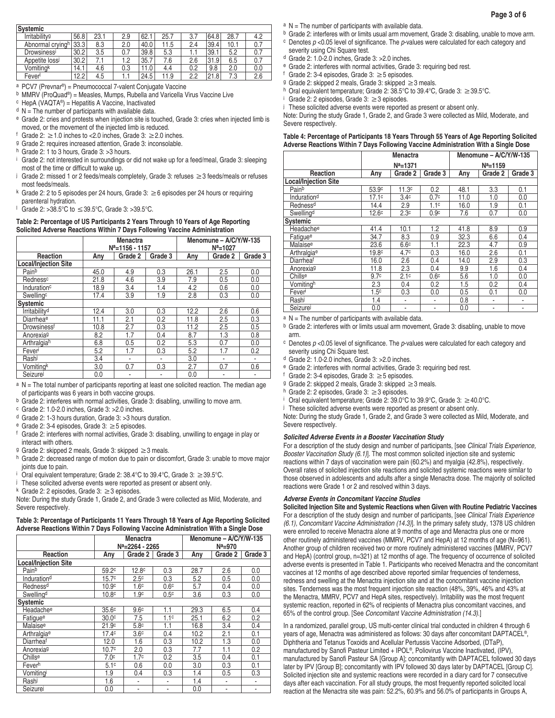| Systemic                  |      |      |     |      |      |     |      |      |     |
|---------------------------|------|------|-----|------|------|-----|------|------|-----|
| Irritability <sup>g</sup> | 56.8 | 23.1 | 2.9 | 62.  | 25.7 | 3.7 | 64.8 | 28.7 | 4.2 |
| Abnormal cryingh          | 33.3 | 8.3  | 2.0 | 40.0 | 11.5 | 2.4 | 39.4 | 10.1 | 0.7 |
| <b>Drowsiness'</b>        | 30.2 | 3.5  | 0.7 | 39.8 | 5.3  | 1.1 | 39.1 | 5.2  | 0.7 |
| Appetite lossi            | 30.2 |      | 1.2 | 35.7 | 7.6  | 2.6 | 31.9 | 6.5  | 0.7 |
| Vomitingk                 | 14.1 | 4.6  | 0.3 | 11.0 | 4.4  | 0.2 | 9.8  | 2.0  | 0.0 |
| Fever                     | 12.2 | 4.5  |     | 24.5 | 11.9 | 2.2 | 21.8 | 7.3  | 2.6 |

- a PCV7 (Prevnar®) = Pneumococcal 7-valent Conjugate Vaccine
- b MMRV (ProQuad®) = Measles, Mumps, Rubella and Varicella Virus Vaccine Live
- $c$  HepA (VAQTA®) = Hepatitis A Vaccine, Inactivated
- $d$  N = The number of participants with available data.
- e Grade 2: cries and protests when injection site is touched, Grade 3: cries when injected limb is moved, or the movement of the injected limb is reduced.
- f Grade 2:  $\geq$  1.0 inches to < 2.0 inches, Grade 3:  $\geq$  2.0 inches.
- g Grade 2: requires increased attention, Grade 3: inconsolable.
- h Grade 2: 1 to 3 hours, Grade 3: > 3 hours.
- i <sup>i</sup> Grade 2: not interested in surroundings or did not wake up for a feed/meal, Grade 3: sleeping most of the time or difficult to wake up.
- j Grade 2: missed 1 or 2 feeds/meals completely, Grade 3: refuses ≥3 feeds/meals or refuses most feeds/meals.
- k Grade 2: 2 to 5 episodes per 24 hours, Grade 3:  $\geq 6$  episodes per 24 hours or requiring parenteral hydration.
- l Grade 2: >38.5°C to ≤39.5°C, Grade 3: >39.5°C.

### **Table 2: Percentage of US Participants 2 Years Through 10 Years of Age Reporting Solicited Adverse Reactions Within 7 Days Following Vaccine Administration**

|                             |      | <b>Menactra</b><br>$N^a = 1156 - 1157$ |         | Menomune - A/C/Y/W-135<br>$N^a = 1027$ |         |         |  |
|-----------------------------|------|----------------------------------------|---------|----------------------------------------|---------|---------|--|
| Reaction                    | Any  | Grade 2                                | Grade 3 | Any                                    | Grade 2 | Grade 3 |  |
| <b>Local/Injection Site</b> |      |                                        |         |                                        |         |         |  |
| Painb                       | 45.0 | 4.9                                    | 0.3     | 26.1                                   | 2.5     | 0.0     |  |
| Redness <sup>c</sup>        | 21.8 | 4.6                                    | 3.9     | 7.9                                    | 0.5     | 0.0     |  |
| Induration <sup>c</sup>     | 18.9 | 3.4                                    | 1.4     | 4.2                                    | 0.6     | 0.0     |  |
| Swellingc                   | 17.4 | 3.9                                    | 1.9     | 2.8                                    | 0.3     | 0.0     |  |
| <b>Systemic</b>             |      |                                        |         |                                        |         |         |  |
| Irritability <sup>d</sup>   | 12.4 | 3.0                                    | 0.3     | 12.2                                   | 2.6     | 0.6     |  |
| Diarrheae                   | 11.1 | 2.1                                    | 0.2     | 11.8                                   | 2.5     | 0.3     |  |
| Drowsinessf                 | 10.8 | 2.7                                    | 0.3     | 11.2                                   | 2.5     | 0.5     |  |
| Anorexiag                   | 8.2  | 1.7                                    | 0.4     | 8.7                                    | 1.3     | 0.8     |  |
| Arthralgiah                 | 6.8  | 0.5                                    | 0.2     | 5.3                                    | 0.7     | 0.0     |  |
| Feveri                      | 5.2  | 1.7                                    | 0.3     | 5.2                                    | 1.7     | 0.2     |  |
| Rashi                       | 3.4  | ۰                                      | ٠       | 3.0                                    | ۰       |         |  |
| Vomitingk                   | 3.0  | 0.7                                    | 0.3     | 2.7                                    | 0.7     | 0.6     |  |
| Seizurel                    | 0.0  |                                        |         | 0.0                                    | ۰       |         |  |

a N = The total number of participants reporting at least one solicited reaction. The median age of participants was 6 years in both vaccine groups.

b Grade 2: interferes with normal activities, Grade 3: disabling, unwilling to move arm.

 $c$  Grade 2: 1.0-2.0 inches, Grade 3: > 2.0 inches.

- d Grade 2: 1-3 hours duration, Grade 3: >3 hours duration.
- e Grade 2: 3-4 episodes, Grade 3: ≥5 episodes.
- f Grade 2: interferes with normal activities, Grade 3: disabling, unwilling to engage in play or interact with others.
- g Grade 2: skipped 2 meals, Grade 3: skipped ≥3 meals.
- h Grade 2: decreased range of motion due to pain or discomfort, Grade 3: unable to move major joints due to pain.
- Oral equivalent temperature; Grade 2:  $38.4^{\circ}$ C to  $39.4^{\circ}$ C, Grade 3:  $\geq 39.5^{\circ}$ C.
- These solicited adverse events were reported as present or absent only.

k Grade 2: 2 episodes, Grade 3:  $\geq$  3 episodes.

Note: During the study Grade 1, Grade 2, and Grade 3 were collected as Mild, Moderate, and Severe respectively.

#### **Table 3: Percentage of Participants 11 Years Through 18 Years of Age Reporting Solicited Adverse Reactions Within 7 Days Following Vaccine Administration With a Single Dose**

|                             |                   | <b>Menactra</b><br>N <sup>a</sup> =2264 - 2265 |                  | Menomune - A/C/Y/W-135<br>$N^a = 970$ |                          |         |  |
|-----------------------------|-------------------|------------------------------------------------|------------------|---------------------------------------|--------------------------|---------|--|
| Reaction                    | Anv               | Grade 2                                        | Grade 3          | Any                                   | Grade 2                  | Grade 3 |  |
| <b>Local/Injection Site</b> |                   |                                                |                  |                                       |                          |         |  |
| Painb                       | 59.2c             | 12.8 <sup>c</sup>                              | 0.3              | 28.7                                  | 2.6                      | 0.0     |  |
| Induration <sup>d</sup>     | 15.7c             | 2.5 <sup>c</sup>                               | 0.3              | 5.2                                   | 0.5                      | 0.0     |  |
| Redness <sup>d</sup>        | 10.9 <sup>c</sup> | 1.6 <sup>c</sup>                               | 0.6 <sup>c</sup> | 5.7                                   | 0.4                      | 0.0     |  |
| Swelling <sup>d</sup>       | 10.8 <sup>c</sup> | 1.9 <sup>c</sup>                               | 0.5 <sup>c</sup> | 3.6                                   | 0.3                      | 0.0     |  |
| Systemic                    |                   |                                                |                  |                                       |                          |         |  |
| Headachee                   | 35.6 <sup>c</sup> | 9.6 <sup>c</sup>                               | 1.1              | 29.3                                  | 6.5                      | 0.4     |  |
| Fatique <sup>e</sup>        | 30.0 <sup>c</sup> | 7.5                                            | 1.1 <sup>c</sup> | 25.1                                  | 6.2                      | 0.2     |  |
| Malaise <sup>e</sup>        | 21.9 <sup>c</sup> | 5.8 <sup>c</sup>                               | 1.1              | 16.8                                  | 3.4                      | 0.4     |  |
| Arthralgiae                 | 17.4 <sup>c</sup> | 3.6 <sup>c</sup>                               | 0.4              | 10.2                                  | 2.1                      | 0.1     |  |
| Diarrheaf                   | 12.0              | 1.6                                            | 0.3              | 10.2                                  | 1.3                      | 0.0     |  |
| Anorexiag                   | 10.7 <sup>c</sup> | 2.0                                            | 0.3              | 7.7                                   | 1.1                      | 0.2     |  |
| Chillse                     | 7.0 <sup>c</sup>  | 1.7 <sup>c</sup>                               | 0.2              | 3.5                                   | 0.4                      | 0.1     |  |
| Feverh                      | 5.1 <sup>c</sup>  | 0.6                                            | 0.0              | 3.0                                   | 0.3                      | 0.1     |  |
| Vomitingi                   | 1.9               | 0.4                                            | 0.3              | 1.4                                   | 0.5                      | 0.3     |  |
| Rashi                       | 1.6               | $\overline{\phantom{m}}$                       | $\overline{a}$   | 1.4                                   | -                        | ٠       |  |
| Seizurel                    | 0.0               | ٠                                              | $\overline{a}$   | 0.0                                   | $\overline{\phantom{m}}$ | ۰       |  |

- $a$  N = The number of participants with available data.
- b Grade 2: interferes with or limits usual arm movement, Grade 3: disabling, unable to move arm. c Denotes *p* <0.05 level of significance. The *p*-values were calculated for each category and severity using Chi Square test.
- d Grade 2: 1.0-2.0 inches, Grade 3: >2.0 inches.
- e Grade 2: interferes with normal activities, Grade 3: requiring bed rest.
- Grade 2: 3-4 episodes, Grade 3:  $\geq$  5 episodes.
- g Grade 2: skipped 2 meals, Grade 3: skipped ≥3 meals.
- h Oral equivalent temperature; Grade 2: 38.5°C to 39.4°C, Grade 3: ≥39.5°C.
- Grade 2: 2 episodes, Grade 3:  $\geq$  3 episodes.
- These solicited adverse events were reported as present or absent only.

Note: During the study Grade 1, Grade 2, and Grade 3 were collected as Mild, Moderate, and Severe respectively.

#### **Table 4: Percentage of Participants 18 Years Through 55 Years of Age Reporting Solicited Adverse Reactions Within 7 Days Following Vaccine Administration With a Single Dose**

|                             |                   | Menactra                 |                  | Menomune - A/C/Y/W-135 |                          |         |  |
|-----------------------------|-------------------|--------------------------|------------------|------------------------|--------------------------|---------|--|
|                             |                   | $N^a = 1371$             |                  |                        | $N^a = 1159$             |         |  |
| Reaction                    | Any               | Grade 2                  | Grade 3          | Any                    | Grade 2                  | Grade 3 |  |
| <b>Local/Injection Site</b> |                   |                          |                  |                        |                          |         |  |
| Painb                       | 53.9c             | 11.3 <sup>c</sup>        | 0.2              | 48.1                   | 3.3                      | 0.1     |  |
| Induration <sup>d</sup>     | 17.1c             | 3.4 <sup>c</sup>         | 0.7 <sup>c</sup> | 11.0                   | 1.0                      | 0.0     |  |
| Redness <sup>d</sup>        | 14.4              | 2.9                      | 1.1 <sup>c</sup> | 16.0                   | 1.9                      | 0.1     |  |
| Swellingd                   | 12.6 <sup>c</sup> | 2.3 <sup>c</sup>         | 0.9 <sup>c</sup> | 7.6                    | 0.7                      | 0.0     |  |
| <b>Systemic</b>             |                   |                          |                  |                        |                          |         |  |
| Headachee                   | 41.4              | 10.1                     | 1.2              | 41.8                   | 8.9                      | 0.9     |  |
| Fatigue <sup>e</sup>        | 34.7              | 8.3                      | 0.9              | 32.3                   | 6.6                      | 0.4     |  |
| Malaise <sup>e</sup>        | 23.6              | 6.6 <sup>c</sup>         | 1.1              | 22.3                   | 4.7                      | 0.9     |  |
| Arthralgiae                 | 19.8c             | 4.7 <sup>c</sup>         | 0.3              | 16.0                   | 2.6                      | 0.1     |  |
| Diarrheaf                   | 16.0              | 2.6                      | 0.4              | 14.0                   | 2.9                      | 0.3     |  |
| Anorexiag                   | 11.8              | 2.3                      | 0.4              | 9.9                    | 1.6                      | 0.4     |  |
| Chillse                     | 9.7 <sup>c</sup>  | 2.1 <sup>c</sup>         | 0.6 <sup>c</sup> | 5.6                    | 1.0                      | 0.0     |  |
| Vomitingh                   | 2.3               | 0.4                      | 0.2              | 1.5                    | 0.2                      | 0.4     |  |
| Feveri                      | 1.5 <sup>c</sup>  | 0.3                      | 0.0              | 0.5                    | 0.1                      | 0.0     |  |
| Rashi                       | 1.4               | ٠                        | ۰                | 0.8                    | $\overline{\phantom{m}}$ | ۰       |  |
| Seizurei                    | 0.0               | $\overline{\phantom{m}}$ | ۰                | 0.0                    | $\overline{\phantom{m}}$ |         |  |

 $a \, N$  = The number of participants with available data.

b Grade 2: interferes with or limits usual arm movement, Grade 3: disabling, unable to move arm.

- c Denotes *p* <0.05 level of significance. The *p*-values were calculated for each category and severity using Chi Square test.
- $d$  Grade 2: 1.0-2.0 inches, Grade 3: > 2.0 inches.
- e Grade 2: interferes with normal activities, Grade 3: requiring bed rest.
- f Grade 2: 3-4 episodes, Grade 3:  $\geq$  5 episodes.
- g Grade 2: skipped 2 meals, Grade 3: skipped ≥3 meals.
- h Grade 2: 2 episodes, Grade 3: ≥3 episodes.
- i Oral equivalent temperature; Grade 2: 39.0°C to 39.9°C, Grade 3: ≥40.0°C.
- These solicited adverse events were reported as present or absent only.

Note: During the study Grade 1, Grade 2, and Grade 3 were collected as Mild, Moderate, and Severe respectively.

#### *Solicited Adverse Events in a Booster Vaccination Study*

For a description of the study design and number of participants, [see *Clinical Trials Experience,*  Booster Vaccination Study (6.1)]. The most common solicited injection site and systemic reactions within 7 days of vaccination were pain (60.2%) and myalgia (42.8%), respectively. Overall rates of solicited injection site reactions and solicited systemic reactions were similar to those observed in adolescents and adults after a single Menactra dose. The majority of solicited reactions were Grade 1 or 2 and resolved within 3 days.

### *Adverse Events in Concomitant Vaccine Studies*

**Solicited Injection Site and Systemic Reactions when Given with Routine Pediatric Vaccines** For a description of the study design and number of participants, [see *Clinical Trials Experience (6.1), Concomitant Vaccine Administration (14.3)*]. In the primary safety study, 1378 US children were enrolled to receive Menactra alone at 9 months of age and Menactra plus one or more other routinely administered vaccines (MMRV, PCV7 and HepA) at 12 months of age (N=961). Another group of children received two or more routinely administered vaccines (MMRV, PCV7 and HepA) (control group, n=321) at 12 months of age. The frequency of occurrence of solicited adverse events is presented in Table 1. Participants who received Menactra and the concomitant vaccines at 12 months of age described above reported similar frequencies of tenderness, redness and swelling at the Menactra injection site and at the concomitant vaccine injection sites. Tenderness was the most frequent injection site reaction (48%, 39%, 46% and 43% at the Menactra, MMRV, PCV7 and HepA sites, respectively). Irritability was the most frequent systemic reaction, reported in 62% of recipients of Menactra plus concomitant vaccines, and 65% of the control group. [See *Concomitant Vaccine Administration (14.3)*.]

In a randomized, parallel group, US multi-center clinical trial conducted in children 4 through 6 years of age, Menactra was administered as follows: 30 days after concomitant DAPTACEL®, Diphtheria and Tetanus Toxoids and Acellular Pertussis Vaccine Adsorbed, (DTaP), manufactured by Sanofi Pasteur Limited + IPOL®, Poliovirus Vaccine Inactivated, (IPV), manufactured by Sanofi Pasteur SA [Group A]; concomitantly with DAPTACEL followed 30 days later by IPV [Group B]; concomitantly with IPV followed 30 days later by DAPTACEL [Group C]. Solicited injection site and systemic reactions were recorded in a diary card for 7 consecutive days after each vaccination. For all study groups, the most frequently reported solicited local reaction at the Menactra site was pain: 52.2%, 60.9% and 56.0% of participants in Groups A,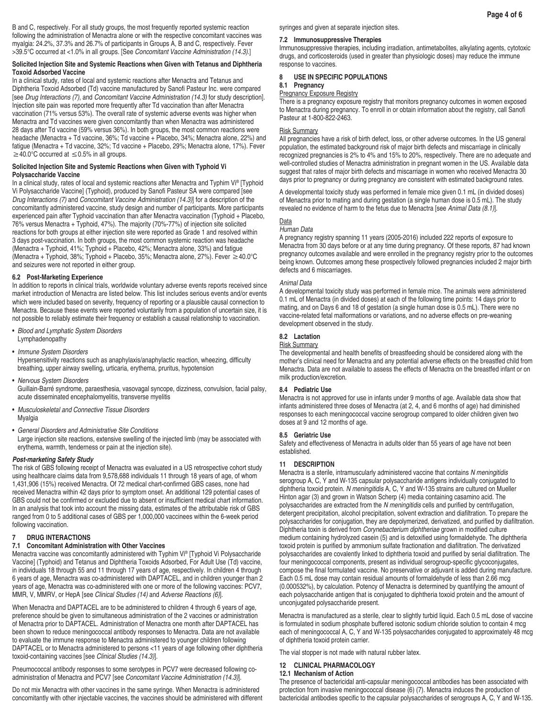B and C, respectively. For all study groups, the most frequently reported systemic reaction following the administration of Menactra alone or with the respective concomitant vaccines was myalgia: 24.2%, 37.3% and 26.7% of participants in Groups A, B and C, respectively. Fever >39.5°C occurred at <1.0% in all groups. [See *Concomitant Vaccine Administration (14.3)*.]

#### **Solicited Injection Site and Systemic Reactions when Given with Tetanus and Diphtheria Toxoid Adsorbed Vaccine**

In a clinical study, rates of local and systemic reactions after Menactra and Tetanus and Diphtheria Toxoid Adsorbed (Td) vaccine manufactured by Sanofi Pasteur Inc. were compared [see *Drug Interactions (7)*, and *Concomitant Vaccine Administration (14.3)* for study description]. Injection site pain was reported more frequently after Td vaccination than after Menactra vaccination (71% versus 53%). The overall rate of systemic adverse events was higher when Menactra and Td vaccines were given concomitantly than when Menactra was administered 28 days after Td vaccine (59% versus 36%). In both groups, the most common reactions were headache (Menactra + Td vaccine, 36%; Td vaccine + Placebo, 34%; Menactra alone, 22%) and fatigue (Menactra + Td vaccine, 32%; Td vaccine + Placebo, 29%; Menactra alone, 17%). Fever  $≥$ 40.0°C occurred at  $≤$ 0.5% in all groups.

### **Solicited Injection Site and Systemic Reactions when Given with Typhoid Vi Polysaccharide Vaccine**

In a clinical study, rates of local and systemic reactions after Menactra and Typhim Vi® [Typhoid Vi Polysaccharide Vaccine] (Typhoid), produced by Sanofi Pasteur SA were compared [see *Drug Interactions (7)* and *Concomitant Vaccine Administration (14.3)*] for a description of the concomitantly administered vaccine, study design and number of participants. More participants experienced pain after Typhoid vaccination than after Menactra vaccination (Typhoid + Placebo, 76% versus Menactra + Typhoid, 47%). The majority (70%-77%) of injection site solicited reactions for both groups at either injection site were reported as Grade 1 and resolved within 3 days post-vaccination. In both groups, the most common systemic reaction was headache (Menactra + Typhoid, 41%; Typhoid + Placebo, 42%; Menactra alone, 33%) and fatigue (Menactra + Typhoid, 38%; Typhoid + Placebo, 35%; Menactra alone, 27%). Fever ≥40.0°C and seizures were not reported in either group.

#### **6.2 Post-Marketing Experience**

In addition to reports in clinical trials, worldwide voluntary adverse events reports received since market introduction of Menactra are listed below. This list includes serious events and/or events which were included based on severity, frequency of reporting or a plausible causal connection to Menactra. Because these events were reported voluntarily from a population of uncertain size, it is not possible to reliably estimate their frequency or establish a causal relationship to vaccination.

- Blood and Lymphatic System Disorders Lymphadenopathy
- Immune System Disorders
- Hypersensitivity reactions such as anaphylaxis/anaphylactic reaction, wheezing, difficulty breathing, upper airway swelling, urticaria, erythema, pruritus, hypotension
- Nervous System Disorders

Guillain-Barré syndrome, paraesthesia, vasovagal syncope, dizziness, convulsion, facial palsy, acute disseminated encephalomyelitis, transverse myelitis

- *Musculoskeletal and Connective Tissue Disorders* Myalgia
- *General Disorders and Administrative Site Conditions*

Large injection site reactions, extensive swelling of the injected limb (may be associated with erythema, warmth, tenderness or pain at the injection site).

### *Post-marketing Safety Study*

The risk of GBS following receipt of Menactra was evaluated in a US retrospective cohort study using healthcare claims data from 9,578,688 individuals 11 through 18 years of age, of whom 1,431,906 (15%) received Menactra. Of 72 medical chart-confirmed GBS cases, none had received Menactra within 42 days prior to symptom onset. An additional 129 potential cases of GBS could not be confirmed or excluded due to absent or insufficient medical chart information. In an analysis that took into account the missing data, estimates of the attributable risk of GBS ranged from 0 to 5 additional cases of GBS per 1,000,000 vaccinees within the 6-week period following vaccination.

### **7 DRUG INTERACTIONS**

### **7.1 Concomitant Administration with Other Vaccines**

Menactra vaccine was concomitantly administered with Typhim Vi® [Typhoid Vi Polysaccharide Vaccine] (Typhoid) and Tetanus and Diphtheria Toxoids Adsorbed, For Adult Use (Td) vaccine, in individuals 18 through 55 and 11 through 17 years of age, respectively. In children 4 through 6 years of age, Menactra was co-administered with DAPTACEL, and in children younger than 2 years of age, Menactra was co-administered with one or more of the following vaccines: PCV7, MMR, V, MMRV, or HepA [see *Clinical Studies (14)* and *Adverse Reactions (6)*].

When Menactra and DAPTACEL are to be administered to children 4 through 6 years of age, preference should be given to simultaneous administration of the 2 vaccines or administration of Menactra prior to DAPTACEL. Administration of Menactra one month after DAPTACEL has been shown to reduce meningococcal antibody responses to Menactra. Data are not available to evaluate the immune response to Menactra administered to younger children following DAPTACEL or to Menactra administered to persons <11 years of age following other diphtheria toxoid-containing vaccines [see *Clinical Studies (14.3)*].

Pneumococcal antibody responses to some serotypes in PCV7 were decreased following coadministration of Menactra and PCV7 [see *Concomitant Vaccine Administration (14.3)*].

Do not mix Menactra with other vaccines in the same syringe. When Menactra is administered concomitantly with other injectable vaccines, the vaccines should be administered with different syringes and given at separate injection sites.

### **7.2 Immunosuppressive Therapies**

Immunosuppressive therapies, including irradiation, antimetabolites, alkylating agents, cytotoxic drugs, and corticosteroids (used in greater than physiologic doses) may reduce the immune response to vaccines.

### **8 USE IN SPECIFIC POPULATIONS**

# **8.1 Pregnancy**

# Pregnancy Exposure Registry

There is a pregnancy exposure registry that monitors pregnancy outcomes in women exposed to Menactra during pregnancy. To enroll in or obtain information about the registry, call Sanofi Pasteur at 1-800-822-2463.

### Risk Summary

All pregnancies have a risk of birth defect, loss, or other adverse outcomes. In the US general population, the estimated background risk of major birth defects and miscarriage in clinically recognized pregnancies is 2% to 4% and 15% to 20%, respectively. There are no adequate and well-controlled studies of Menactra administration in pregnant women in the US. Available data suggest that rates of major birth defects and miscarriage in women who received Menactra 30 days prior to pregnancy or during pregnancy are consistent with estimated background rates.

A developmental toxicity study was performed in female mice given 0.1 mL (in divided doses) of Menactra prior to mating and during gestation (a single human dose is 0.5 mL). The study revealed no evidence of harm to the fetus due to Menactra [see *Animal Data (8.1)*].

#### **Data**

### *Human Data*

A pregnancy registry spanning 11 years (2005-2016) included 222 reports of exposure to Menactra from 30 days before or at any time during pregnancy. Of these reports, 87 had known pregnancy outcomes available and were enrolled in the pregnancy registry prior to the outcomes being known. Outcomes among these prospectively followed pregnancies included 2 major birth defects and 6 miscarriages.

### *Animal Data*

A developmental toxicity study was performed in female mice. The animals were administered 0.1 mL of Menactra (in divided doses) at each of the following time points: 14 days prior to mating, and on Days 6 and 18 of gestation (a single human dose is 0.5 mL). There were no vaccine-related fetal malformations or variations, and no adverse effects on pre-weaning development observed in the study.

### **8.2 Lactation**

### Risk Summary

The developmental and health benefits of breastfeeding should be considered along with the mother's clinical need for Menactra and any potential adverse effects on the breastfed child from Menactra. Data are not available to assess the effects of Menactra on the breastfed infant or on milk production/excretion.

### **8.4 Pediatric Use**

Menactra is not approved for use in infants under 9 months of age. Available data show that infants administered three doses of Menactra (at 2, 4, and 6 months of age) had diminished responses to each meningococcal vaccine serogroup compared to older children given two doses at 9 and 12 months of age.

### **8.5 Geriatric Use**

Safety and effectiveness of Menactra in adults older than 55 years of age have not been established.

### **11 DESCRIPTION**

Menactra is a sterile, intramuscularly administered vaccine that contains *N meningitidis* serogroup A, C, Y and W-135 capsular polysaccharide antigens individually conjugated to diphtheria toxoid protein. *N meningitidis* A, C, Y and W-135 strains are cultured on Mueller Hinton agar (3) and grown in Watson Scherp (4) media containing casamino acid. The polysaccharides are extracted from the *N meningitidis* cells and purified by centrifugation, detergent precipitation, alcohol precipitation, solvent extraction and diafiltration. To prepare the polysaccharides for conjugation, they are depolymerized, derivatized, and purified by diafiltration. Diphtheria toxin is derived from Corynebacterium diphtheriae grown in modified culture medium containing hydrolyzed casein (5) and is detoxified using formaldehyde. The diphtheria toxoid protein is purified by ammonium sulfate fractionation and diafiltration. The derivatized polysaccharides are covalently linked to diphtheria toxoid and purified by serial diafiltration. The four meningococcal components, present as individual serogroup-specific glycoconjugates, compose the final formulated vaccine. No preservative or adjuvant is added during manufacture. Each 0.5 mL dose may contain residual amounts of formaldehyde of less than 2.66 mcg (0.000532%), by calculation. Potency of Menactra is determined by quantifying the amount of each polysaccharide antigen that is conjugated to diphtheria toxoid protein and the amount of unconjugated polysaccharide present.

Menactra is manufactured as a sterile, clear to slightly turbid liquid. Each 0.5 mL dose of vaccine is formulated in sodium phosphate buffered isotonic sodium chloride solution to contain 4 mcg each of meningococcal A, C, Y and W-135 polysaccharides conjugated to approximately 48 mcg of diphtheria toxoid protein carrier.

The vial stopper is not made with natural rubber latex.

# **12 CLINICAL PHARMACOLOGY**

### **12.1 Mechanism of Action**

The presence of bactericidal anti-capsular meningococcal antibodies has been associated with protection from invasive meningococcal disease (6) (7). Menactra induces the production of bactericidal antibodies specific to the capsular polysaccharides of serogroups A, C, Y and W-135.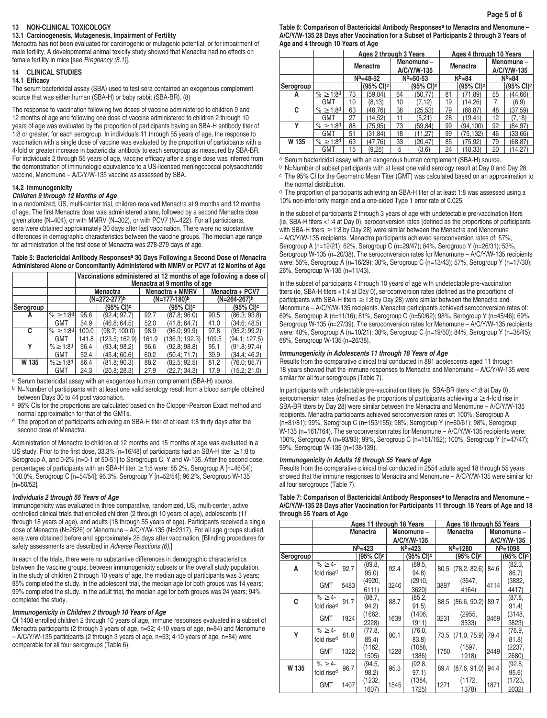### **13 NON-CLINICAL TOXICOLOGY**

### **13.1 Carcinogenesis, Mutagenesis, Impairment of Fertility**

Menactra has not been evaluated for carcinogenic or mutagenic potential, or for impairment of male fertility. A developmental animal toxicity study showed that Menactra had no effects on female fertility in mice [see Pregnancy (8.1)].

# **14 CLINICAL STUDIES**

# **14.1 Efficacy**

The serum bactericidal assay (SBA) used to test sera contained an exogenous complement source that was either human (SBA-H) or baby rabbit (SBA-BR). (8)

The response to vaccination following two doses of vaccine administered to children 9 and 12 months of age and following one dose of vaccine administered to children 2 through 10 years of age was evaluated by the proportion of participants having an SBA-H antibody titer of 1:8 or greater, for each serogroup. In individuals 11 through 55 years of age, the response to vaccination with a single dose of vaccine was evaluated by the proportion of participants with a 4-fold or greater increase in bactericidal antibody to each serogroup as measured by SBA-BR. For individuals 2 through 55 years of age, vaccine efficacy after a single dose was inferred from the demonstration of immunologic equivalence to a US-licensed meningococcal polysaccharide vaccine, Menomune – A/C/Y/W-135 vaccine as assessed by SBA.

## **14.2 Immunogenicity**

## *Children 9 through 12 Months of Age*

In a randomized, US, multi-center trial, children received Menactra at 9 months and 12 months of age. The first Menactra dose was administered alone, followed by a second Menactra dose given alone (N=404), or with MMRV (N=302), or with PCV7 (N=422). For all participants, sera were obtained approximately 30 days after last vaccination. There were no substantive differences in demographic characteristics between the vaccine groups. The median age range for administration of the first dose of Menactra was 278-279 days of age.

### **Table 5: Bactericidal Antibody Responsesa 30 Days Following a Second Dose of Menactra Administered Alone or Concomitantly Administered with MMRV or PCV7 at 12 Months of Age**

|           |                      |       | Vaccinations administered at 12 months of age following a dose of<br>Menactra at 9 months of age |       |                 |       |                       |  |  |  |  |  |
|-----------|----------------------|-------|--------------------------------------------------------------------------------------------------|-------|-----------------|-------|-----------------------|--|--|--|--|--|
|           |                      |       | <b>Menactra</b>                                                                                  |       | Menactra + MMRV |       | Menactra + PCV7       |  |  |  |  |  |
|           |                      |       | (N=272-277)b                                                                                     |       | (N=177-180)b    |       | (N=264-267)b          |  |  |  |  |  |
| Serogroup |                      |       | $(95%$ CI) <sup>c</sup>                                                                          |       | (95% CI)°       |       | $(95\% \text{ Cl})^c$ |  |  |  |  |  |
| А         | $% \ge 1:8^d$        | 95.6  | (92.4; 97.7)                                                                                     | 92.7  | (87.8; 96.0)    | 90.5  | (86.3; 93.8)          |  |  |  |  |  |
|           | <b>GMT</b>           | 54.9  | (46.8; 64.5)                                                                                     | 52.0  | (41.8; 64.7)    | 41.0  | (34.6; 48.5)          |  |  |  |  |  |
| C         | % ≥1:8 <sup>d</sup>  | 100.0 | (98.7; 100.0)                                                                                    | 98.9  | (96.0; 99.9)    | 97.8  | (95.2; 99.2)          |  |  |  |  |  |
|           | <b>GMT</b>           | 141.8 | (123.5; 162.9)                                                                                   | 161.9 | (136.3; 192.3)  | 109.5 | (94.1; 127.5)         |  |  |  |  |  |
| ٧         | $% > 1:8^d$          | 96.4  | (93.4; 98.2)                                                                                     | 96.6  | (92.8; 98.8)    | 95.1  | (91.8; 97.4)          |  |  |  |  |  |
|           | <b>GMT</b>           | 52.4  | (45.4; 60.6)                                                                                     | 60.2  | (50.4; 71.7)    | 39.9  | (34.4; 46.2)          |  |  |  |  |  |
| W 135     | % ≥ 1:8 <sup>d</sup> | 86.4  | (81.8; 90.3)                                                                                     | 88.2  | (82.5; 92.5)    | 81.2  | (76.0; 85.7)          |  |  |  |  |  |
|           | <b>GMT</b>           | 24.3  | (20.8; 28.3)                                                                                     | 27.9  | (22.7; 34.3)    | 17.9  | (15.2; 21.0)          |  |  |  |  |  |

a Serum bactericidal assay with an exogenous human complement (SBA-H) source.

b N=Number of participants with at least one valid serology result from a blood sample obtained between Days 30 to 44 post vaccination.

c 95% CIs for the proportions are calculated based on the Clopper-Pearson Exact method and normal approximation for that of the GMTs.

d The proportion of participants achieving an SBA-H titer of at least 1:8 thirty days after the second dose of Menactra.

Administration of Menactra to children at 12 months and 15 months of age was evaluated in a US study. Prior to the first dose, 33.3% [n=16/48] of participants had an SBA-H titer ≥1:8 to Serogroup A, and 0-2% [n=0-1 of 50-51] to Serogroups C, Y and W-135. After the second dose, percentages of participants with an SBA-H titer ≥ 1:8 were: 85.2%, Serogroup A [n=46/54]; 100.0%, Serogroup C [n=54/54]; 96.3%, Serogroup Y [n=52/54]; 96.2%, Serogroup W-135 [n=50/52].

## *Individuals 2 through 55 Years of Age*

Immunogenicity was evaluated in three comparative, randomized, US, multi-center, active controlled clinical trials that enrolled children (2 through 10 years of age), adolescents (11 through 18 years of age), and adults (18 through 55 years of age). Participants received a single dose of Menactra (N=2526) or Menomune – A/C/Y/W-135 (N=2317). For all age groups studied, sera were obtained before and approximately 28 days after vaccination. [Blinding procedures for safety assessments are described in *Adverse Reactions (6)*.]

In each of the trials, there were no substantive differences in demographic characteristics between the vaccine groups, between immunogenicity subsets or the overall study population. In the study of children 2 through 10 years of age, the median age of participants was 3 years; 95% completed the study. In the adolescent trial, the median age for both groups was 14 years; 99% completed the study. In the adult trial, the median age for both groups was 24 years; 94% completed the study.

# *Immunogenicity in Children 2 through 10 Years of Age*

Of 1408 enrolled children 2 through 10 years of age, immune responses evaluated in a subset of Menactra participants (2 through 3 years of age, n=52; 4-10 years of age, n=84) and Menomune – A/C/Y/W-135 participants (2 through 3 years of age, n=53; 4-10 years of age, n=84) were comparable for all four serogroups (Table 6).

**Table 6: Comparison of Bactericidal Antibody Responsesa to Menactra and Menomune – A/C/Y/W-135 28 Days after Vaccination for a Subset of Participants 2 through 3 Years of Age and 4 through 10 Years of Age**

|           |                      |                 | Ages 2 through 3 Years |    |                          | Ages 4 through 10 Years |                       |                          |                       |
|-----------|----------------------|-----------------|------------------------|----|--------------------------|-------------------------|-----------------------|--------------------------|-----------------------|
|           |                      | <b>Menactra</b> |                        |    | Menomune-<br>A/C/Y/W-135 |                         | <b>Menactra</b>       | Menomune-<br>A/C/Y/W-135 |                       |
|           |                      |                 | $N^{b=48-52}$          |    | $Nb=50-53$               |                         | $Nb=84$               |                          | $Nb=84$               |
| Serogroup |                      |                 | $(95\% \text{ Cl})^c$  |    | $(95\% \text{ Cl})^c$    |                         | (95% CI) <sup>c</sup> |                          | (95% CI) <sup>c</sup> |
| А         | % ≥ 1:8 <sup>d</sup> | 73              | (59, 84)               | 64 | (50, 77)                 | 81                      | (71, 89)              | 55                       | (44, 66)              |
|           | <b>GMT</b>           | 10              | (8.13)                 | 10 | (7, 12)                  | 19                      | (14.26)               |                          | (6, 9)                |
| c         | % ≥1:8 <sup>d</sup>  | 63              | (48, 76)               | 38 | (25, 53)                 | 79                      | (68,87)               | 48                       | (37, 59)              |
|           | <b>GMT</b>           | 27              | (14,52)                | 11 | (5,21)                   | 28                      | (19.41)               | 12                       | (7,18)                |
| ۷         | % ≥ 1:8 <sup>d</sup> | 88              | (75.95)                | 73 | (59.84)                  | 99                      | (94.100)              | 92                       | (84.97)               |
|           | GMT                  | 51              | (31.84)                | 18 | (11.27)                  | 99                      | (75,132)              | 46                       | (33,66)               |
| W 135     | $% \ge 1:8^d$        | 63              | (47.76)                | 33 | (20, 47)                 | 85                      | (75, 92)              | 79                       | (68, 87)              |
|           | <b>GMT</b>           | 15              | (9,25)                 | 5  | (3,6)                    | 24                      | (18, 33)              | 20                       | (14, 27)              |

a Serum bactericidal assay with an exogenous human complement (SBA-H) source.

b N=Number of subset participants with at least one valid serology result at Day 0 and Day 28. c The 95% CI for the Geometric Mean Titer (GMT) was calculated based on an approximation to the normal distribution.

d The proportion of participants achieving an SBA-H titer of at least 1:8 was assessed using a 10% non-inferiority margin and a one-sided Type 1 error rate of 0.025.

In the subset of participants 2 through 3 years of age with undetectable pre-vaccination titers (ie, SBA-H titers <1:4 at Day 0), seroconversion rates (defined as the proportions of participants with SBA-H titers  $\geq$  1:8 by Day 28) were similar between the Menactra and Menomune – A/C/Y/W-135 recipients. Menactra participants achieved seroconversion rates of: 57%, Serogroup A (n=12/21); 62%, Serogroup C (n=29/47); 84%, Serogroup Y (n=26/31); 53%, Serogroup W-135 (n=20/38). The seroconversion rates for Menomune – A/C/Y/W-135 recipients were: 55%, Serogroup A (n=16/29); 30%, Serogroup C (n=13/43); 57%, Serogroup Y (n=17/30); 26%, Serogroup W-135 (n=11/43).

In the subset of participants 4 through 10 years of age with undetectable pre-vaccination titers (ie, SBA-H titers <1:4 at Day 0), seroconversion rates (defined as the proportions of participants with SBA-H titers  $\geq$  1:8 by Day 28) were similar between the Menactra and Menomune – A/C/Y/W-135 recipients. Menactra participants achieved seroconversion rates of: 69%, Serogroup A (n=11/16); 81%, Serogroup C (n=50/62); 98%, Serogroup Y (n=45/46); 69%, Serogroup W-135 (n=27/39). The seroconversion rates for Menomune – A/C/Y/W-135 recipients were: 48%, Serogroup A (n=10/21); 38%, Serogroup C (n=19/50); 84%, Serogroup Y (n=38/45); 68%, Serogroup W-135 (n=26/38).

# *Immunogenicity in Adolescents 11 through 18 Years of Age*

Results from the comparative clinical trial conducted in 881 adolescents aged 11 through 18 years showed that the immune responses to Menactra and Menomune – A/C/Y/W-135 were similar for all four serogroups (Table 7).

In participants with undetectable pre-vaccination titers (ie, SBA-BR titers <1:8 at Day 0), seroconversion rates (defined as the proportions of participants achieving a ≥4-fold rise in SBA-BR titers by Day 28) were similar between the Menactra and Menomune – A/C/Y/W-135 recipients. Menactra participants achieved seroconversion rates of: 100%, Serogroup A (n=81/81); 99%, Serogroup C (n=153/155); 98%, Serogroup Y (n=60/61); 98%, Serogroup W-135 (n=161/164). The seroconversion rates for Menomune – A/C/Y/W-135 recipients were: 100%, Serogroup A (n=93/93); 99%, Serogroup C (n=151/152); 100%, Serogroup Y (n=47/47); 99%, Serogroup W-135 (n=138/139).

# *Immunogenicity in Adults 18 through 55 Years of Age*

Results from the comparative clinical trial conducted in 2554 adults aged 18 through 55 years showed that the immune responses to Menactra and Menomune – A/C/Y/W-135 were similar for all four serogroups (Table 7).

# **Table 7: Comparison of Bactericidal Antibody Responsesa to Menactra and Menomune – A/C/Y/W-135 28 Days after Vaccination for Participants 11 through 18 Years of Age and 18 through 55 Years of Age**

|           |                        | Ages 11 through 18 Years |                       |                                     |                       |              | Ages 18 through 55 Years |              |                       |  |
|-----------|------------------------|--------------------------|-----------------------|-------------------------------------|-----------------------|--------------|--------------------------|--------------|-----------------------|--|
|           |                        |                          | <b>Menactra</b>       |                                     | Menomune -            |              | <b>Menactra</b>          | Menomune-    |                       |  |
|           |                        |                          |                       |                                     | A/C/Y/W-135           |              |                          |              | A/C/Y/W-135           |  |
|           |                        | $N^{b=423}$              |                       | $Nb=423$                            |                       | $N^{b=1280}$ |                          | $N^{b=1098}$ |                       |  |
| Serogroup |                        |                          | (95% CI) <sup>c</sup> |                                     | (95% CI) <sup>c</sup> |              | (95% CI) <sup>c</sup>    |              | (95% CI) <sup>c</sup> |  |
| A         | $% \geq 4$ -           | 92.7                     | (89.8,                | 92.4                                | (89.5,                |              | $80.5$ (78.2, 82.6)      | 84.6         | (82.3,                |  |
|           | fold rise <sup>d</sup> |                          | 95.0)                 |                                     | 94.8)                 |              |                          |              | 86.7                  |  |
|           | <b>GMT</b>             | 5483                     | (4920,                | 3246                                | (2910,                | 3897         | (3647,                   | 4114         | (3832,                |  |
|           |                        |                          | 6111)                 |                                     | 3620)                 |              | 4164)                    |              | 4417)                 |  |
| C         | % ≥4-                  | 91.7                     | (88.7,                | 88.7                                | (85.2,                | 88.5         | (86.6, 90.2)             | 89.7         | (87.8,                |  |
|           | fold rise <sup>d</sup> |                          | 94.2)                 |                                     | 91.5)                 |              |                          |              | 91.4)                 |  |
|           | <b>GMT</b>             | 1924                     | (1662,                | 1639                                | (1406,                | 3231         | (2955,                   | 3469         | (3148,                |  |
|           |                        |                          | 2228)                 |                                     | 1911)                 |              | 3533)                    |              | 3823)                 |  |
| Υ         | % ≥4-                  | 81.8                     | (77.8,                | (76.0,<br>80.1<br>73.5 (71.0, 75.9) | 79.4                  | (76.9,       |                          |              |                       |  |
|           | fold rise <sup>d</sup> |                          | 85.4)                 |                                     | 83.8)                 |              |                          |              | 81.8)                 |  |
|           | <b>GMT</b>             | 1322                     | (1162,                | 1228                                | (1088,                | 1750         | (1597,                   | 2449         | (2237,                |  |
|           |                        |                          | 1505)                 |                                     | 1386)                 |              | 1918)                    |              | 2680)                 |  |
| W 135     | % ≥4-                  | 96.7                     | (94.5,                | 95.3                                | (92.8,                | 89.4         | (87.6, 91.0)             | 94.4         | (92.8,                |  |
|           | fold rise <sup>d</sup> |                          | 98.2)                 |                                     | 97.1)                 |              |                          |              | 95.6)                 |  |
|           | <b>GMT</b>             | 1407                     | (1232,                | 1545                                | (1384,                | 1271         | (1172,                   | 1871         | (1723,                |  |
|           |                        |                          | 1607)                 |                                     | 1725)                 |              | 1378)                    |              | 2032)                 |  |